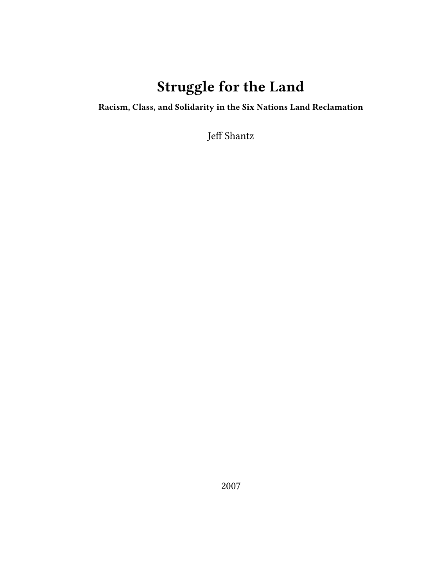# **Struggle for the Land**

**Racism, Class, and Solidarity in the Six Nations Land Reclamation**

Jeff Shantz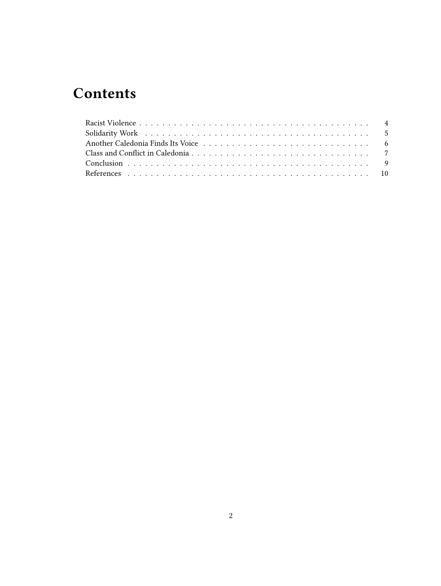# **Contents**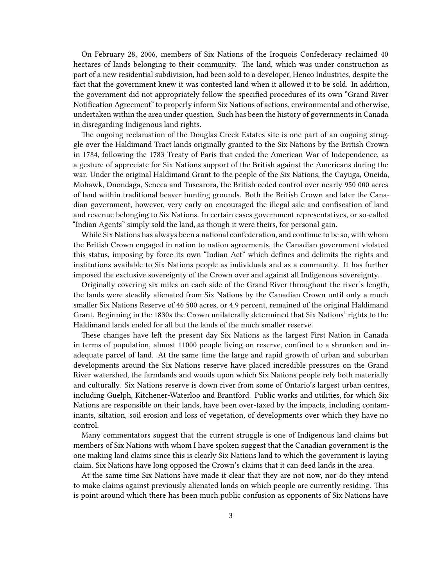On February 28, 2006, members of Six Nations of the Iroquois Confederacy reclaimed 40 hectares of lands belonging to their community. The land, which was under construction as part of a new residential subdivision, had been sold to a developer, Henco Industries, despite the fact that the government knew it was contested land when it allowed it to be sold. In addition, the government did not appropriately follow the specified procedures of its own "Grand River Notification Agreement" to properly inform Six Nations of actions, environmental and otherwise, undertaken within the area under question. Such has been the history of governments in Canada in disregarding Indigenous land rights.

The ongoing reclamation of the Douglas Creek Estates site is one part of an ongoing struggle over the Haldimand Tract lands originally granted to the Six Nations by the British Crown in 1784, following the 1783 Treaty of Paris that ended the American War of Independence, as a gesture of appreciate for Six Nations support of the British against the Americans during the war. Under the original Haldimand Grant to the people of the Six Nations, the Cayuga, Oneida, Mohawk, Onondaga, Seneca and Tuscarora, the British ceded control over nearly 950 000 acres of land within traditional beaver hunting grounds. Both the British Crown and later the Canadian government, however, very early on encouraged the illegal sale and confiscation of land and revenue belonging to Six Nations. In certain cases government representatives, or so-called "Indian Agents" simply sold the land, as though it were theirs, for personal gain.

While Six Nations has always been a national confederation, and continue to be so, with whom the British Crown engaged in nation to nation agreements, the Canadian government violated this status, imposing by force its own "Indian Act" which defines and delimits the rights and institutions available to Six Nations people as individuals and as a community. It has further imposed the exclusive sovereignty of the Crown over and against all Indigenous sovereignty.

Originally covering six miles on each side of the Grand River throughout the river's length, the lands were steadily alienated from Six Nations by the Canadian Crown until only a much smaller Six Nations Reserve of 46 500 acres, or 4.9 percent, remained of the original Haldimand Grant. Beginning in the 1830s the Crown unilaterally determined that Six Nations' rights to the Haldimand lands ended for all but the lands of the much smaller reserve.

These changes have left the present day Six Nations as the largest First Nation in Canada in terms of population, almost 11000 people living on reserve, confined to a shrunken and inadequate parcel of land. At the same time the large and rapid growth of urban and suburban developments around the Six Nations reserve have placed incredible pressures on the Grand River watershed, the farmlands and woods upon which Six Nations people rely both materially and culturally. Six Nations reserve is down river from some of Ontario's largest urban centres, including Guelph, Kitchener-Waterloo and Brantford. Public works and utilities, for which Six Nations are responsible on their lands, have been over-taxed by the impacts, including contaminants, siltation, soil erosion and loss of vegetation, of developments over which they have no control.

Many commentators suggest that the current struggle is one of Indigenous land claims but members of Six Nations with whom I have spoken suggest that the Canadian government is the one making land claims since this is clearly Six Nations land to which the government is laying claim. Six Nations have long opposed the Crown's claims that it can deed lands in the area.

At the same time Six Nations have made it clear that they are not now, nor do they intend to make claims against previously alienated lands on which people are currently residing. This is point around which there has been much public confusion as opponents of Six Nations have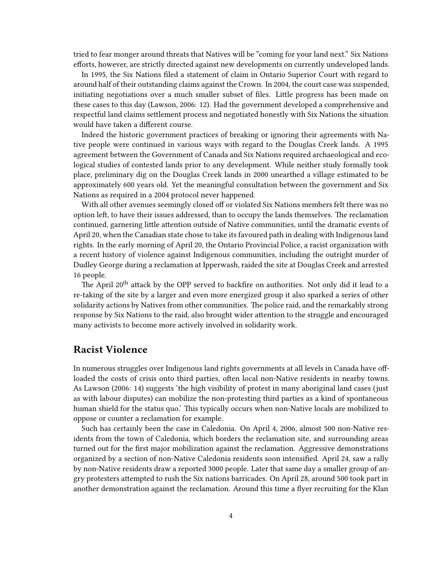tried to fear monger around threats that Natives will be "coming for your land next." Six Nations efforts, however, are strictly directed against new developments on currently undeveloped lands.

In 1995, the Six Nations filed a statement of claim in Ontario Superior Court with regard to around half of their outstanding claims against the Crown. In 2004, the court case was suspended, initiating negotiations over a much smaller subset of files. Little progress has been made on these cases to this day (Lawson, 2006: 12). Had the government developed a comprehensive and respectful land claims settlement process and negotiated honestly with Six Nations the situation would have taken a different course.

Indeed the historic government practices of breaking or ignoring their agreements with Native people were continued in various ways with regard to the Douglas Creek lands. A 1995 agreement between the Government of Canada and Six Nations required archaeological and ecological studies of contested lands prior to any development. While neither study formally took place, preliminary dig on the Douglas Creek lands in 2000 unearthed a village estimated to be approximately 600 years old. Yet the meaningful consultation between the government and Six Nations as required in a 2004 protocol never happened.

With all other avenues seemingly closed off or violated Six Nations members felt there was no option left, to have their issues addressed, than to occupy the lands themselves. The reclamation continued, garnering little attention outside of Native communities, until the dramatic events of April 20, when the Canadian state chose to take its favoured path in dealing with Indigenous land rights. In the early morning of April 20, the Ontario Provincial Police, a racist organization with a recent history of violence against Indigenous communities, including the outright murder of Dudley George during a reclamation at Ipperwash, raided the site at Douglas Creek and arrested 16 people.

The April 20<sup>th</sup> attack by the OPP served to backfire on authorities. Not only did it lead to a re-taking of the site by a larger and even more energized group it also sparked a series of other solidarity actions by Natives from other communities. The police raid, and the remarkably strong response by Six Nations to the raid, also brought wider attention to the struggle and encouraged many activists to become more actively involved in solidarity work.

## <span id="page-3-0"></span>**Racist Violence**

In numerous struggles over Indigenous land rights governments at all levels in Canada have offloaded the costs of crisis onto third parties, often local non-Native residents in nearby towns. As Lawson (2006: 14) suggests 'the high visibility of protest in many aboriginal land cases (just as with labour disputes) can mobilize the non-protesting third parties as a kind of spontaneous human shield for the status quo.' This typically occurs when non-Native locals are mobilized to oppose or counter a reclamation for example.

Such has certainly been the case in Caledonia. On April 4, 2006, almost 500 non-Native residents from the town of Caledonia, which borders the reclamation site, and surrounding areas turned out for the first major mobilization against the reclamation. Aggressive demonstrations organized by a section of non-Native Caledonia residents soon intensified. April 24, saw a rally by non-Native residents draw a reported 3000 people. Later that same day a smaller group of angry protesters attempted to rush the Six nations barricades. On April 28, around 500 took part in another demonstration against the reclamation. Around this time a flyer recruiting for the Klan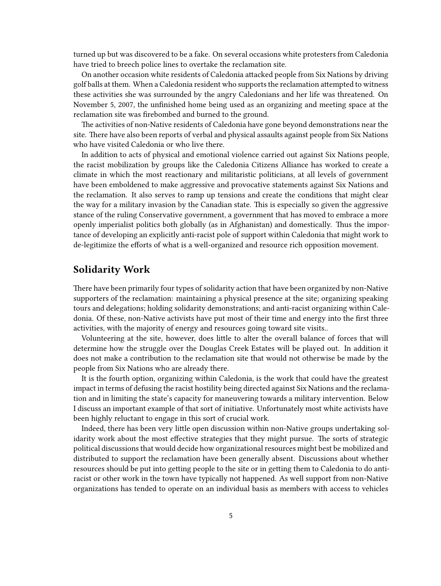turned up but was discovered to be a fake. On several occasions white protesters from Caledonia have tried to breech police lines to overtake the reclamation site.

On another occasion white residents of Caledonia attacked people from Six Nations by driving golf balls at them. When a Caledonia resident who supports the reclamation attempted to witness these activities she was surrounded by the angry Caledonians and her life was threatened. On November 5, 2007, the unfinished home being used as an organizing and meeting space at the reclamation site was firebombed and burned to the ground.

The activities of non-Native residents of Caledonia have gone beyond demonstrations near the site. There have also been reports of verbal and physical assaults against people from Six Nations who have visited Caledonia or who live there.

In addition to acts of physical and emotional violence carried out against Six Nations people, the racist mobilization by groups like the Caledonia Citizens Alliance has worked to create a climate in which the most reactionary and militaristic politicians, at all levels of government have been emboldened to make aggressive and provocative statements against Six Nations and the reclamation. It also serves to ramp up tensions and create the conditions that might clear the way for a military invasion by the Canadian state. This is especially so given the aggressive stance of the ruling Conservative government, a government that has moved to embrace a more openly imperialist politics both globally (as in Afghanistan) and domestically. Thus the importance of developing an explicitly anti-racist pole of support within Caledonia that might work to de-legitimize the efforts of what is a well-organized and resource rich opposition movement.

#### <span id="page-4-0"></span>**Solidarity Work**

There have been primarily four types of solidarity action that have been organized by non-Native supporters of the reclamation: maintaining a physical presence at the site; organizing speaking tours and delegations; holding solidarity demonstrations; and anti-racist organizing within Caledonia. Of these, non-Native activists have put most of their time and energy into the first three activities, with the majority of energy and resources going toward site visits..

Volunteering at the site, however, does little to alter the overall balance of forces that will determine how the struggle over the Douglas Creek Estates will be played out. In addition it does not make a contribution to the reclamation site that would not otherwise be made by the people from Six Nations who are already there.

It is the fourth option, organizing within Caledonia, is the work that could have the greatest impact in terms of defusing the racist hostility being directed against Six Nations and the reclamation and in limiting the state's capacity for maneuvering towards a military intervention. Below I discuss an important example of that sort of initiative. Unfortunately most white activists have been highly reluctant to engage in this sort of crucial work.

Indeed, there has been very little open discussion within non-Native groups undertaking solidarity work about the most effective strategies that they might pursue. The sorts of strategic political discussions that would decide how organizational resources might best be mobilized and distributed to support the reclamation have been generally absent. Discussions about whether resources should be put into getting people to the site or in getting them to Caledonia to do antiracist or other work in the town have typically not happened. As well support from non-Native organizations has tended to operate on an individual basis as members with access to vehicles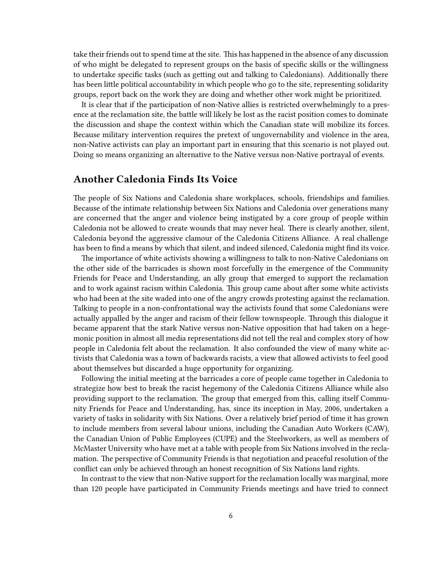take their friends out to spend time at the site. This has happened in the absence of any discussion of who might be delegated to represent groups on the basis of specific skills or the willingness to undertake specific tasks (such as getting out and talking to Caledonians). Additionally there has been little political accountability in which people who go to the site, representing solidarity groups, report back on the work they are doing and whether other work might be prioritized.

It is clear that if the participation of non-Native allies is restricted overwhelmingly to a presence at the reclamation site, the battle will likely be lost as the racist position comes to dominate the discussion and shape the context within which the Canadian state will mobilize its forces. Because military intervention requires the pretext of ungovernability and violence in the area, non-Native activists can play an important part in ensuring that this scenario is not played out. Doing so means organizing an alternative to the Native versus non-Native portrayal of events.

# <span id="page-5-0"></span>**Another Caledonia Finds Its Voice**

The people of Six Nations and Caledonia share workplaces, schools, friendships and families. Because of the intimate relationship between Six Nations and Caledonia over generations many are concerned that the anger and violence being instigated by a core group of people within Caledonia not be allowed to create wounds that may never heal. There is clearly another, silent, Caledonia beyond the aggressive clamour of the Caledonia Citizens Alliance. A real challenge has been to find a means by which that silent, and indeed silenced, Caledonia might find its voice.

The importance of white activists showing a willingness to talk to non-Native Caledonians on the other side of the barricades is shown most forcefully in the emergence of the Community Friends for Peace and Understanding, an ally group that emerged to support the reclamation and to work against racism within Caledonia. This group came about after some white activists who had been at the site waded into one of the angry crowds protesting against the reclamation. Talking to people in a non-confrontational way the activists found that some Caledonians were actually appalled by the anger and racism of their fellow townspeople. Through this dialogue it became apparent that the stark Native versus non-Native opposition that had taken on a hegemonic position in almost all media representations did not tell the real and complex story of how people in Caledonia felt about the reclamation. It also confounded the view of many white activists that Caledonia was a town of backwards racists, a view that allowed activists to feel good about themselves but discarded a huge opportunity for organizing.

Following the initial meeting at the barricades a core of people came together in Caledonia to strategize how best to break the racist hegemony of the Caledonia Citizens Alliance while also providing support to the reclamation. The group that emerged from this, calling itself Community Friends for Peace and Understanding, has, since its inception in May, 2006, undertaken a variety of tasks in solidarity with Six Nations. Over a relatively brief period of time it has grown to include members from several labour unions, including the Canadian Auto Workers (CAW), the Canadian Union of Public Employees (CUPE) and the Steelworkers, as well as members of McMaster University who have met at a table with people from Six Nations involved in the reclamation. The perspective of Community Friends is that negotiation and peaceful resolution of the conflict can only be achieved through an honest recognition of Six Nations land rights.

In contrast to the view that non-Native support for the reclamation locally was marginal, more than 120 people have participated in Community Friends meetings and have tried to connect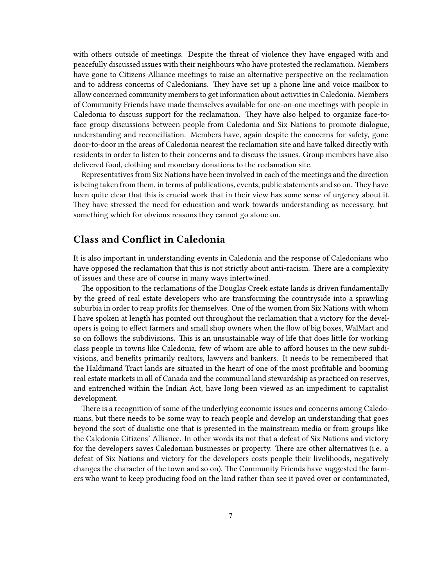with others outside of meetings. Despite the threat of violence they have engaged with and peacefully discussed issues with their neighbours who have protested the reclamation. Members have gone to Citizens Alliance meetings to raise an alternative perspective on the reclamation and to address concerns of Caledonians. They have set up a phone line and voice mailbox to allow concerned community members to get information about activities in Caledonia. Members of Community Friends have made themselves available for one-on-one meetings with people in Caledonia to discuss support for the reclamation. They have also helped to organize face-toface group discussions between people from Caledonia and Six Nations to promote dialogue, understanding and reconciliation. Members have, again despite the concerns for safety, gone door-to-door in the areas of Caledonia nearest the reclamation site and have talked directly with residents in order to listen to their concerns and to discuss the issues. Group members have also delivered food, clothing and monetary donations to the reclamation site.

Representatives from Six Nations have been involved in each of the meetings and the direction is being taken from them, in terms of publications, events, public statements and so on. They have been quite clear that this is crucial work that in their view has some sense of urgency about it. They have stressed the need for education and work towards understanding as necessary, but something which for obvious reasons they cannot go alone on.

## <span id="page-6-0"></span>**Class and Conflict in Caledonia**

It is also important in understanding events in Caledonia and the response of Caledonians who have opposed the reclamation that this is not strictly about anti-racism. There are a complexity of issues and these are of course in many ways intertwined.

The opposition to the reclamations of the Douglas Creek estate lands is driven fundamentally by the greed of real estate developers who are transforming the countryside into a sprawling suburbia in order to reap profits for themselves. One of the women from Six Nations with whom I have spoken at length has pointed out throughout the reclamation that a victory for the developers is going to effect farmers and small shop owners when the flow of big boxes, WalMart and so on follows the subdivisions. This is an unsustainable way of life that does little for working class people in towns like Caledonia, few of whom are able to afford houses in the new subdivisions, and benefits primarily realtors, lawyers and bankers. It needs to be remembered that the Haldimand Tract lands are situated in the heart of one of the most profitable and booming real estate markets in all of Canada and the communal land stewardship as practiced on reserves, and entrenched within the Indian Act, have long been viewed as an impediment to capitalist development.

There is a recognition of some of the underlying economic issues and concerns among Caledonians, but there needs to be some way to reach people and develop an understanding that goes beyond the sort of dualistic one that is presented in the mainstream media or from groups like the Caledonia Citizens' Alliance. In other words its not that a defeat of Six Nations and victory for the developers saves Caledonian businesses or property. There are other alternatives (i.e. a defeat of Six Nations and victory for the developers costs people their livelihoods, negatively changes the character of the town and so on). The Community Friends have suggested the farmers who want to keep producing food on the land rather than see it paved over or contaminated,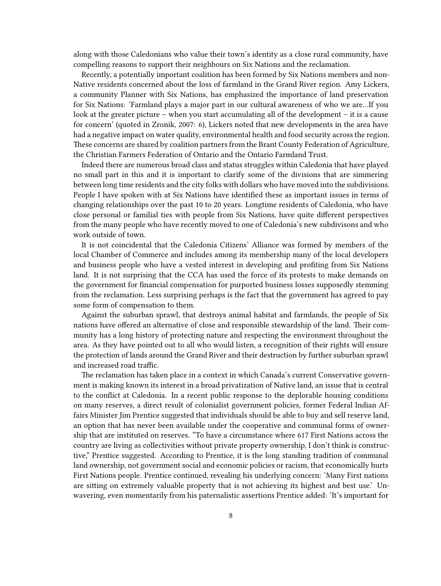along with those Caledonians who value their town's identity as a close rural community, have compelling reasons to support their neighbours on Six Nations and the reclamation.

Recently, a potentially important coalition has been formed by Six Nations members and non-Native residents concerned about the loss of farmland in the Grand River region. Amy Lickers, a community Planner with Six Nations, has emphasized the importance of land preservation for Six Nations: 'Farmland plays a major part in our cultural awareness of who we are…If you look at the greater picture – when you start accumulating all of the development – it is a cause for concern' (quoted in Zronik, 2007: 6), Lickers noted that new developments in the area have had a negative impact on water quality, environmental health and food security across the region. These concerns are shared by coalition partners from the Brant County Federation of Agriculture, the Christian Farmers Federation of Ontario and the Ontario Farmland Trust.

Indeed there are numerous broad class and status struggles within Caledonia that have played no small part in this and it is important to clarify some of the divisions that are simmering between long time residents and the city folks with dollars who have moved into the subdivisions. People I have spoken with at Six Nations have identified these as important issues in terms of changing relationships over the past 10 to 20 years. Longtime residents of Caledonia, who have close personal or familial ties with people from Six Nations, have quite different perspectives from the many people who have recently moved to one of Caledonia's new subdivisons and who work outside of town.

It is not coincidental that the Caledonia Citizens' Alliance was formed by members of the local Chamber of Commerce and includes among its membership many of the local developers and business people who have a vested interest in developing and profiting from Six Nations land. It is not surprising that the CCA has used the force of its protests to make demands on the government for financial compensation for purported business losses supposedly stemming from the reclamation. Less surprising perhaps is the fact that the government has agreed to pay some form of compensation to them.

Against the suburban sprawl, that destroys animal habitat and farmlands, the people of Six nations have offered an alternative of close and responsible stewardship of the land. Their community has a long history of protecting nature and respecting the environment throughout the area. As they have pointed out to all who would listen, a recognition of their rights will ensure the protection of lands around the Grand River and their destruction by further suburban sprawl and increased road traffic.

The reclamation has taken place in a context in which Canada's current Conservative government is making known its interest in a broad privatization of Native land, an issue that is central to the conflict at Caledonia. In a recent public response to the deplorable housing conditions on many reserves, a direct result of colonialist government policies, former Federal Indian Affairs Minister Jim Prentice suggested that individuals should be able to buy and sell reserve land, an option that has never been available under the cooperative and communal forms of ownership that are instituted on reserves. "To have a circumstance where 617 First Nations across the country are living as collectivities without private property ownership, I don't think is constructive," Prentice suggested. According to Prentice, it is the long standing tradition of communal land ownership, not government social and economic policies or racism, that economically hurts First Nations people. Prentice continued, revealing his underlying concern: 'Many First nations are sitting on extremely valuable property that is not achieving its highest and best use.' Unwavering, even momentarily from his paternalistic assertions Prentice added: 'It's important for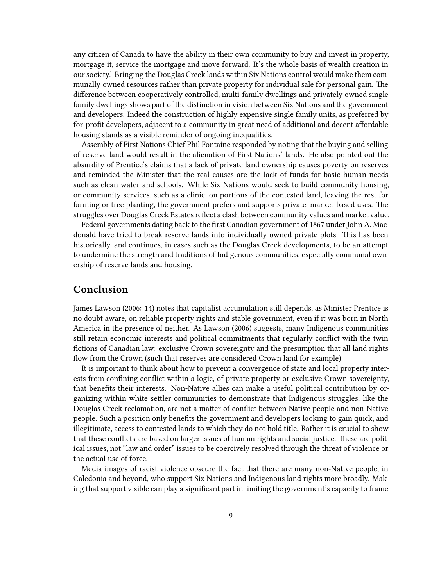any citizen of Canada to have the ability in their own community to buy and invest in property, mortgage it, service the mortgage and move forward. It's the whole basis of wealth creation in our society.' Bringing the Douglas Creek lands within Six Nations control would make them communally owned resources rather than private property for individual sale for personal gain. The difference between cooperatively controlled, multi-family dwellings and privately owned single family dwellings shows part of the distinction in vision between Six Nations and the government and developers. Indeed the construction of highly expensive single family units, as preferred by for-profit developers, adjacent to a community in great need of additional and decent affordable housing stands as a visible reminder of ongoing inequalities.

Assembly of First Nations Chief Phil Fontaine responded by noting that the buying and selling of reserve land would result in the alienation of First Nations' lands. He also pointed out the absurdity of Prentice's claims that a lack of private land ownership causes poverty on reserves and reminded the Minister that the real causes are the lack of funds for basic human needs such as clean water and schools. While Six Nations would seek to build community housing, or community services, such as a clinic, on portions of the contested land, leaving the rest for farming or tree planting, the government prefers and supports private, market-based uses. The struggles over Douglas Creek Estates reflect a clash between community values and market value.

Federal governments dating back to the first Canadian government of 1867 under John A. Macdonald have tried to break reserve lands into individually owned private plots. This has been historically, and continues, in cases such as the Douglas Creek developments, to be an attempt to undermine the strength and traditions of Indigenous communities, especially communal ownership of reserve lands and housing.

#### <span id="page-8-0"></span>**Conclusion**

James Lawson (2006: 14) notes that capitalist accumulation still depends, as Minister Prentice is no doubt aware, on reliable property rights and stable government, even if it was born in North America in the presence of neither. As Lawson (2006) suggests, many Indigenous communities still retain economic interests and political commitments that regularly conflict with the twin fictions of Canadian law: exclusive Crown sovereignty and the presumption that all land rights flow from the Crown (such that reserves are considered Crown land for example)

It is important to think about how to prevent a convergence of state and local property interests from confining conflict within a logic, of private property or exclusive Crown sovereignty, that benefits their interests. Non-Native allies can make a useful political contribution by organizing within white settler communities to demonstrate that Indigenous struggles, like the Douglas Creek reclamation, are not a matter of conflict between Native people and non-Native people. Such a position only benefits the government and developers looking to gain quick, and illegitimate, access to contested lands to which they do not hold title. Rather it is crucial to show that these conflicts are based on larger issues of human rights and social justice. These are political issues, not "law and order" issues to be coercively resolved through the threat of violence or the actual use of force.

Media images of racist violence obscure the fact that there are many non-Native people, in Caledonia and beyond, who support Six Nations and Indigenous land rights more broadly. Making that support visible can play a significant part in limiting the government's capacity to frame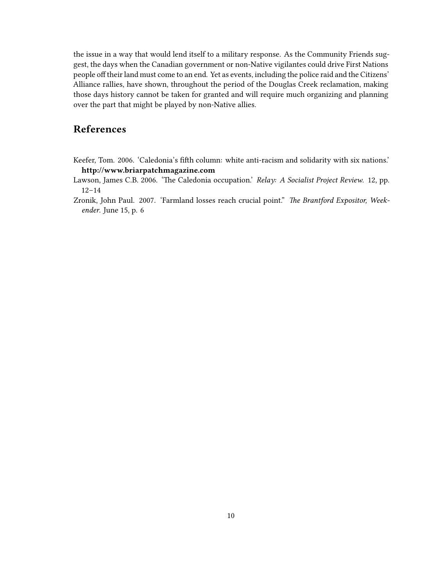the issue in a way that would lend itself to a military response. As the Community Friends suggest, the days when the Canadian government or non-Native vigilantes could drive First Nations people off their land must come to an end. Yet as events, including the police raid and the Citizens' Alliance rallies, have shown, throughout the period of the Douglas Creek reclamation, making those days history cannot be taken for granted and will require much organizing and planning over the part that might be played by non-Native allies.

# <span id="page-9-0"></span>**References**

Keefer, Tom. 2006. 'Caledonia's fifth column: white anti-racism and solidarity with six nations.' **http://www.briarpatchmagazine.com**

Lawson, James C.B. 2006. 'The Caledonia occupation.' *Relay: A Socialist Project Review*. 12, pp. 12–14

Zronik, John Paul. 2007. 'Farmland losses reach crucial point." *The Brantford Expositor, Weekender*. June 15, p. 6